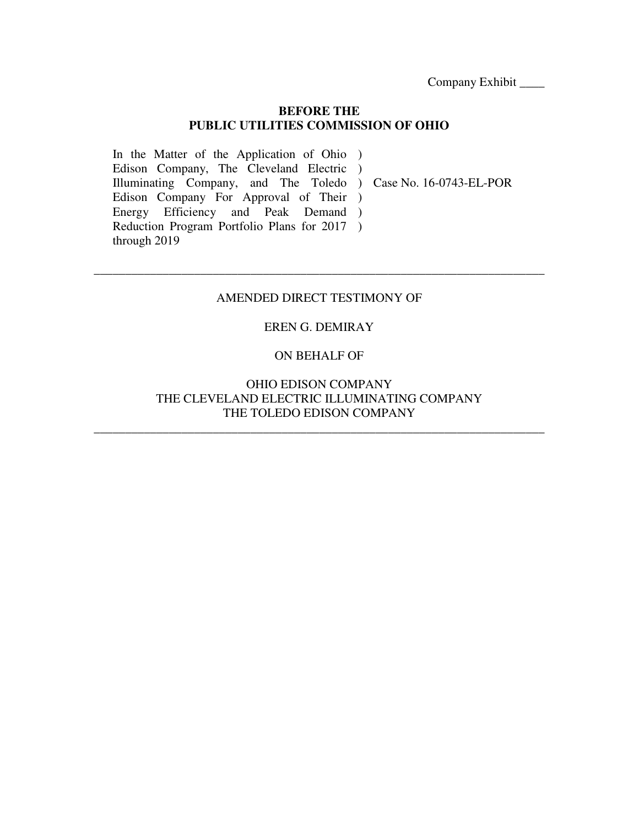Company Exhibit \_\_\_\_

### **BEFORE THE PUBLIC UTILITIES COMMISSION OF OHIO**

In the Matter of the Application of Ohio ) Edison Company, The Cleveland Electric ) Illuminating Company, and The Toledo ) Case No. 16-0743-EL-POR Edison Company For Approval of Their ) Energy Efficiency and Peak Demand ) Reduction Program Portfolio Plans for 2017 ) through 2019

### AMENDED DIRECT TESTIMONY OF

\_\_\_\_\_\_\_\_\_\_\_\_\_\_\_\_\_\_\_\_\_\_\_\_\_\_\_\_\_\_\_\_\_\_\_\_\_\_\_\_\_\_\_\_\_\_\_\_\_\_\_\_\_\_\_\_\_\_\_\_\_\_\_\_\_\_\_\_\_\_\_\_

### EREN G. DEMIRAY

### ON BEHALF OF

### OHIO EDISON COMPANY THE CLEVELAND ELECTRIC ILLUMINATING COMPANY THE TOLEDO EDISON COMPANY

\_\_\_\_\_\_\_\_\_\_\_\_\_\_\_\_\_\_\_\_\_\_\_\_\_\_\_\_\_\_\_\_\_\_\_\_\_\_\_\_\_\_\_\_\_\_\_\_\_\_\_\_\_\_\_\_\_\_\_\_\_\_\_\_\_\_\_\_\_\_\_\_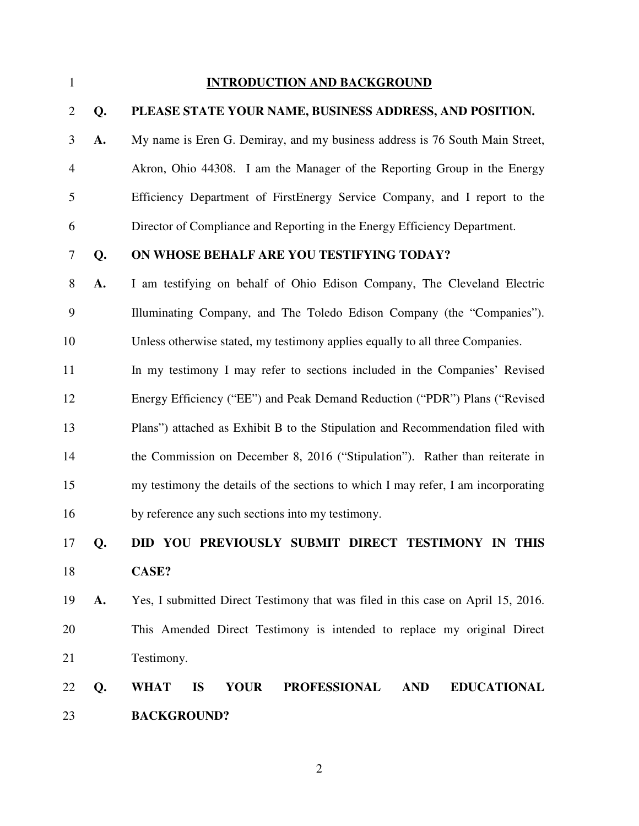#### 1 **INTRODUCTION AND BACKGROUND**

#### 2 **Q. PLEASE STATE YOUR NAME, BUSINESS ADDRESS, AND POSITION.**

3 **A.** My name is Eren G. Demiray, and my business address is 76 South Main Street, 4 Akron, Ohio 44308. I am the Manager of the Reporting Group in the Energy 5 Efficiency Department of FirstEnergy Service Company, and I report to the 6 Director of Compliance and Reporting in the Energy Efficiency Department.

### 7 **Q. ON WHOSE BEHALF ARE YOU TESTIFYING TODAY?**

8 **A.** I am testifying on behalf of Ohio Edison Company, The Cleveland Electric 9 Illuminating Company, and The Toledo Edison Company (the "Companies"). 10 Unless otherwise stated, my testimony applies equally to all three Companies.

11 In my testimony I may refer to sections included in the Companies' Revised 12 Energy Efficiency ("EE") and Peak Demand Reduction ("PDR") Plans ("Revised 13 Plans") attached as Exhibit B to the Stipulation and Recommendation filed with 14 the Commission on December 8, 2016 ("Stipulation"). Rather than reiterate in 15 my testimony the details of the sections to which I may refer, I am incorporating 16 by reference any such sections into my testimony.

### 17 **Q. DID YOU PREVIOUSLY SUBMIT DIRECT TESTIMONY IN THIS**  18 **CASE?**

19 **A.** Yes, I submitted Direct Testimony that was filed in this case on April 15, 2016. 20 This Amended Direct Testimony is intended to replace my original Direct 21 Testimony.

### 22 **Q. WHAT IS YOUR PROFESSIONAL AND EDUCATIONAL**  23 **BACKGROUND?**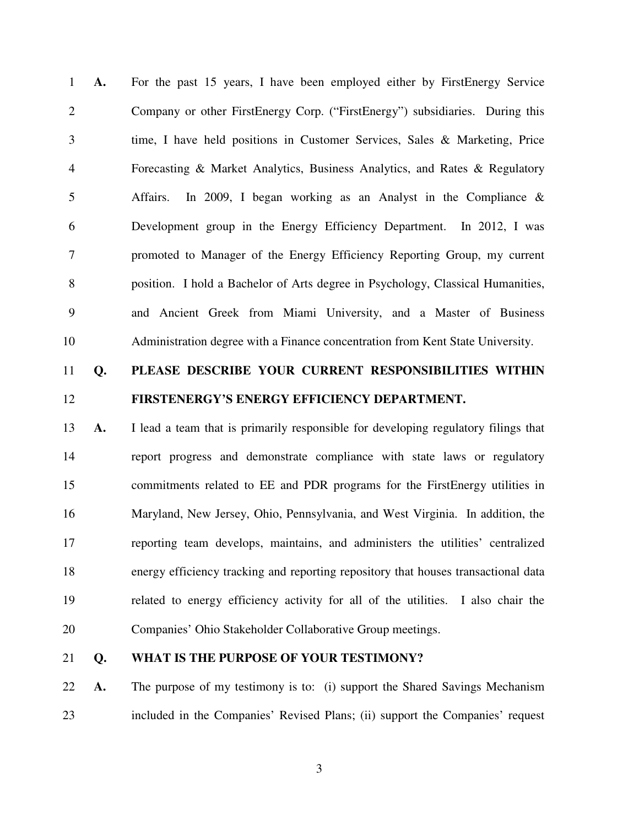1 **A.** For the past 15 years, I have been employed either by FirstEnergy Service 2 Company or other FirstEnergy Corp. ("FirstEnergy") subsidiaries. During this 3 time, I have held positions in Customer Services, Sales & Marketing, Price 4 Forecasting & Market Analytics, Business Analytics, and Rates & Regulatory 5 Affairs. In 2009, I began working as an Analyst in the Compliance & 6 Development group in the Energy Efficiency Department. In 2012, I was 7 promoted to Manager of the Energy Efficiency Reporting Group, my current 8 position. I hold a Bachelor of Arts degree in Psychology, Classical Humanities, 9 and Ancient Greek from Miami University, and a Master of Business 10 Administration degree with a Finance concentration from Kent State University.

### 11 **Q. PLEASE DESCRIBE YOUR CURRENT RESPONSIBILITIES WITHIN**  12 **FIRSTENERGY'S ENERGY EFFICIENCY DEPARTMENT.**

13 **A.** I lead a team that is primarily responsible for developing regulatory filings that 14 report progress and demonstrate compliance with state laws or regulatory 15 commitments related to EE and PDR programs for the FirstEnergy utilities in 16 Maryland, New Jersey, Ohio, Pennsylvania, and West Virginia. In addition, the 17 reporting team develops, maintains, and administers the utilities' centralized 18 energy efficiency tracking and reporting repository that houses transactional data 19 related to energy efficiency activity for all of the utilities. I also chair the 20 Companies' Ohio Stakeholder Collaborative Group meetings.

### 21 **Q. WHAT IS THE PURPOSE OF YOUR TESTIMONY?**

22 **A.** The purpose of my testimony is to: (i) support the Shared Savings Mechanism 23 included in the Companies' Revised Plans; (ii) support the Companies' request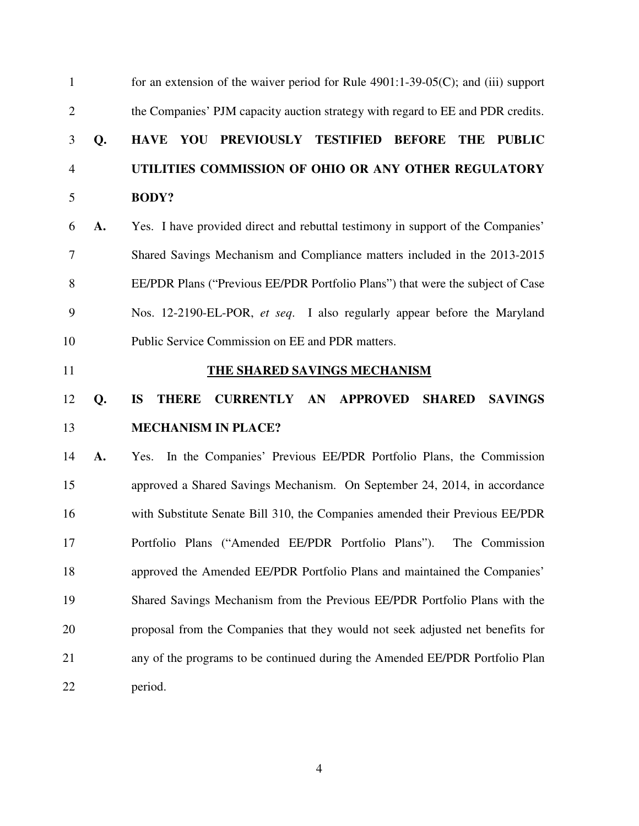| $\mathbf{1}$   |    | for an extension of the waiver period for Rule 4901:1-39-05(C); and (iii) support                      |
|----------------|----|--------------------------------------------------------------------------------------------------------|
| $\overline{2}$ |    | the Companies' PJM capacity auction strategy with regard to EE and PDR credits.                        |
| 3              | Q. | PREVIOUSLY TESTIFIED BEFORE<br><b>HAVE YOU</b><br><b>PUBLIC</b><br><b>THE</b>                          |
| $\overline{4}$ |    | UTILITIES COMMISSION OF OHIO OR ANY OTHER REGULATORY                                                   |
| 5              |    | <b>BODY?</b>                                                                                           |
| 6              | A. | Yes. I have provided direct and rebuttal testimony in support of the Companies'                        |
| 7              |    | Shared Savings Mechanism and Compliance matters included in the 2013-2015                              |
| 8              |    | EE/PDR Plans ("Previous EE/PDR Portfolio Plans") that were the subject of Case                         |
| 9              |    | Nos. 12-2190-EL-POR, et seq. I also regularly appear before the Maryland                               |
| 10             |    | Public Service Commission on EE and PDR matters.                                                       |
| 11             |    | THE SHARED SAVINGS MECHANISM                                                                           |
|                |    |                                                                                                        |
| 12             | Q. | <b>IS</b><br><b>CURRENTLY AN</b><br><b>APPROVED</b><br><b>SAVINGS</b><br><b>THERE</b><br><b>SHARED</b> |
| 13             |    | <b>MECHANISM IN PLACE?</b>                                                                             |
| 14             | A. | In the Companies' Previous EE/PDR Portfolio Plans, the Commission<br>Yes.                              |
| 15             |    | approved a Shared Savings Mechanism. On September 24, 2014, in accordance                              |
| 16             |    | with Substitute Senate Bill 310, the Companies amended their Previous EE/PDR                           |
| 17             |    | Portfolio Plans ("Amended EE/PDR Portfolio Plans"). The Commission                                     |
| 18             |    | approved the Amended EE/PDR Portfolio Plans and maintained the Companies'                              |
| 19             |    | Shared Savings Mechanism from the Previous EE/PDR Portfolio Plans with the                             |
| 20             |    | proposal from the Companies that they would not seek adjusted net benefits for                         |
| 21             |    | any of the programs to be continued during the Amended EE/PDR Portfolio Plan                           |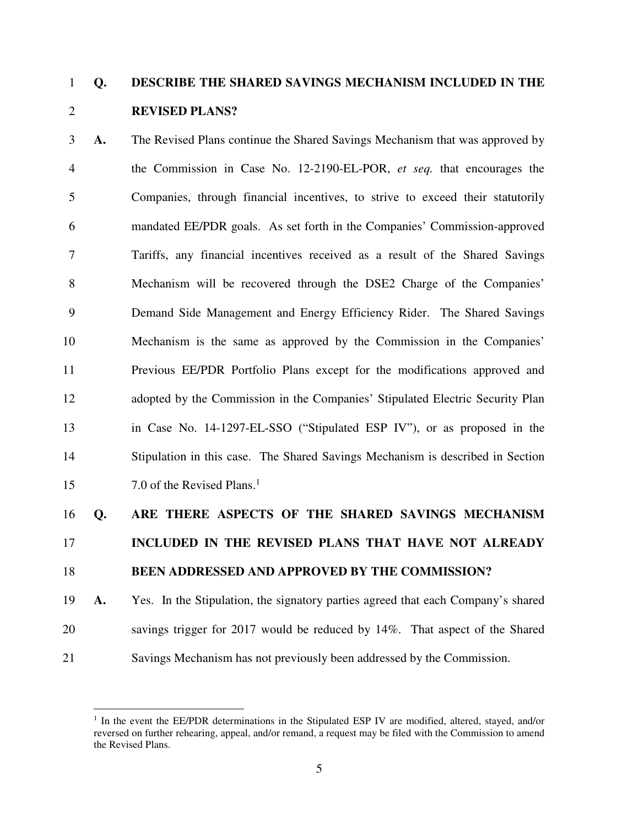### 1 **Q. DESCRIBE THE SHARED SAVINGS MECHANISM INCLUDED IN THE**  2 **REVISED PLANS?**

3 **A.** The Revised Plans continue the Shared Savings Mechanism that was approved by 4 the Commission in Case No. 12-2190-EL-POR, *et seq.* that encourages the 5 Companies, through financial incentives, to strive to exceed their statutorily 6 mandated EE/PDR goals. As set forth in the Companies' Commission-approved 7 Tariffs, any financial incentives received as a result of the Shared Savings 8 Mechanism will be recovered through the DSE2 Charge of the Companies' 9 Demand Side Management and Energy Efficiency Rider. The Shared Savings 10 Mechanism is the same as approved by the Commission in the Companies' 11 Previous EE/PDR Portfolio Plans except for the modifications approved and 12 adopted by the Commission in the Companies' Stipulated Electric Security Plan 13 in Case No. 14-1297-EL-SSO ("Stipulated ESP IV"), or as proposed in the 14 Stipulation in this case. The Shared Savings Mechanism is described in Section 7.0 of the Revised Plans.<sup>1</sup> 15

#### 16 **Q. ARE THERE ASPECTS OF THE SHARED SAVINGS MECHANISM**

### 17 **INCLUDED IN THE REVISED PLANS THAT HAVE NOT ALREADY**

### 18 **BEEN ADDRESSED AND APPROVED BY THE COMMISSION?**

19 **A.** Yes. In the Stipulation, the signatory parties agreed that each Company's shared 20 savings trigger for 2017 would be reduced by 14%. That aspect of the Shared 21 Savings Mechanism has not previously been addressed by the Commission.

 $\overline{a}$ <sup>1</sup> In the event the EE/PDR determinations in the Stipulated ESP IV are modified, altered, stayed, and/or reversed on further rehearing, appeal, and/or remand, a request may be filed with the Commission to amend the Revised Plans.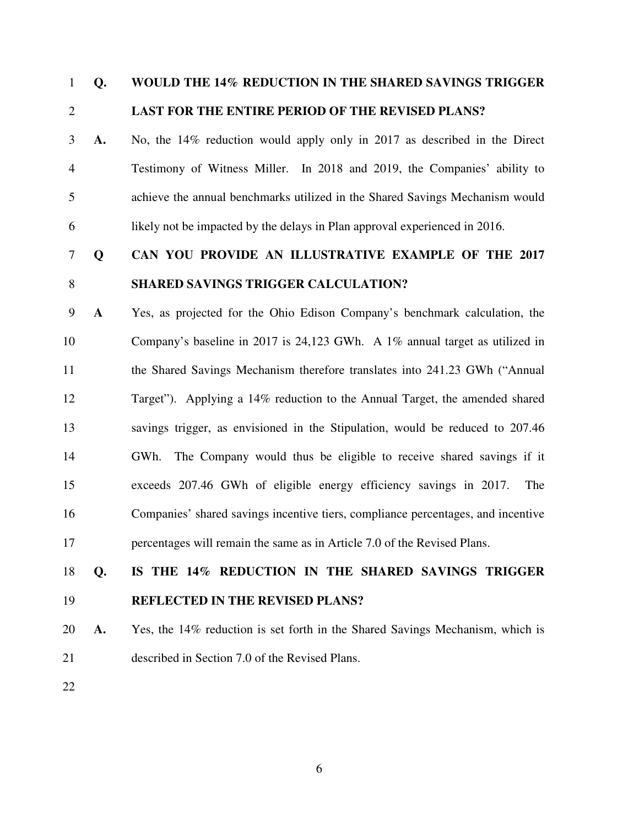### 1 **Q. WOULD THE 14% REDUCTION IN THE SHARED SAVINGS TRIGGER**  2 **LAST FOR THE ENTIRE PERIOD OF THE REVISED PLANS?**

3 **A.** No, the 14% reduction would apply only in 2017 as described in the Direct 4 Testimony of Witness Miller. In 2018 and 2019, the Companies' ability to 5 achieve the annual benchmarks utilized in the Shared Savings Mechanism would 6 likely not be impacted by the delays in Plan approval experienced in 2016.

## 7 **Q CAN YOU PROVIDE AN ILLUSTRATIVE EXAMPLE OF THE 2017** 8 **SHARED SAVINGS TRIGGER CALCULATION?**

9 **A** Yes, as projected for the Ohio Edison Company's benchmark calculation, the 10 Company's baseline in 2017 is 24,123 GWh. A 1% annual target as utilized in 11 the Shared Savings Mechanism therefore translates into 241.23 GWh ("Annual 12 Target"). Applying a 14% reduction to the Annual Target, the amended shared 13 savings trigger, as envisioned in the Stipulation, would be reduced to 207.46 14 GWh. The Company would thus be eligible to receive shared savings if it 15 exceeds 207.46 GWh of eligible energy efficiency savings in 2017. The 16 Companies' shared savings incentive tiers, compliance percentages, and incentive 17 percentages will remain the same as in Article 7.0 of the Revised Plans.

# 18 **Q. IS THE 14% REDUCTION IN THE SHARED SAVINGS TRIGGER**  19 **REFLECTED IN THE REVISED PLANS?**

20 **A.** Yes, the 14% reduction is set forth in the Shared Savings Mechanism, which is 21 described in Section 7.0 of the Revised Plans.

22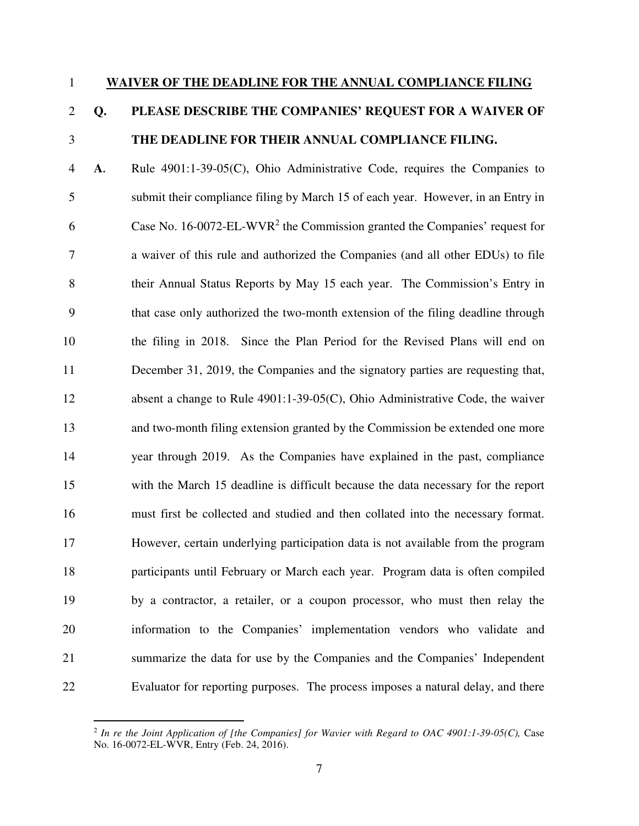#### 1 **WAIVER OF THE DEADLINE FOR THE ANNUAL COMPLIANCE FILING**

### 2 **Q. PLEASE DESCRIBE THE COMPANIES' REQUEST FOR A WAIVER OF**  3 **THE DEADLINE FOR THEIR ANNUAL COMPLIANCE FILING.**

4 **A.** Rule 4901:1-39-05(C), Ohio Administrative Code, requires the Companies to 5 submit their compliance filing by March 15 of each year. However, in an Entry in 6 Case No.  $16\text{-}0072\text{-}EL\text{-}WVR^2$  the Commission granted the Companies' request for 7 a waiver of this rule and authorized the Companies (and all other EDUs) to file 8 their Annual Status Reports by May 15 each year. The Commission's Entry in 9 that case only authorized the two-month extension of the filing deadline through 10 the filing in 2018. Since the Plan Period for the Revised Plans will end on 11 December 31, 2019, the Companies and the signatory parties are requesting that, 12 absent a change to Rule 4901:1-39-05(C), Ohio Administrative Code, the waiver 13 and two-month filing extension granted by the Commission be extended one more 14 year through 2019. As the Companies have explained in the past, compliance 15 with the March 15 deadline is difficult because the data necessary for the report 16 must first be collected and studied and then collated into the necessary format. 17 However, certain underlying participation data is not available from the program 18 participants until February or March each year. Program data is often compiled 19 by a contractor, a retailer, or a coupon processor, who must then relay the 20 information to the Companies' implementation vendors who validate and 21 summarize the data for use by the Companies and the Companies' Independent 22 Evaluator for reporting purposes. The process imposes a natural delay, and there

 $\overline{a}$ 

<sup>2</sup> *In re the Joint Application of [the Companies] for Wavier with Regard to OAC 4901:1-39-05(C),* Case No. 16-0072-EL-WVR, Entry (Feb. 24, 2016).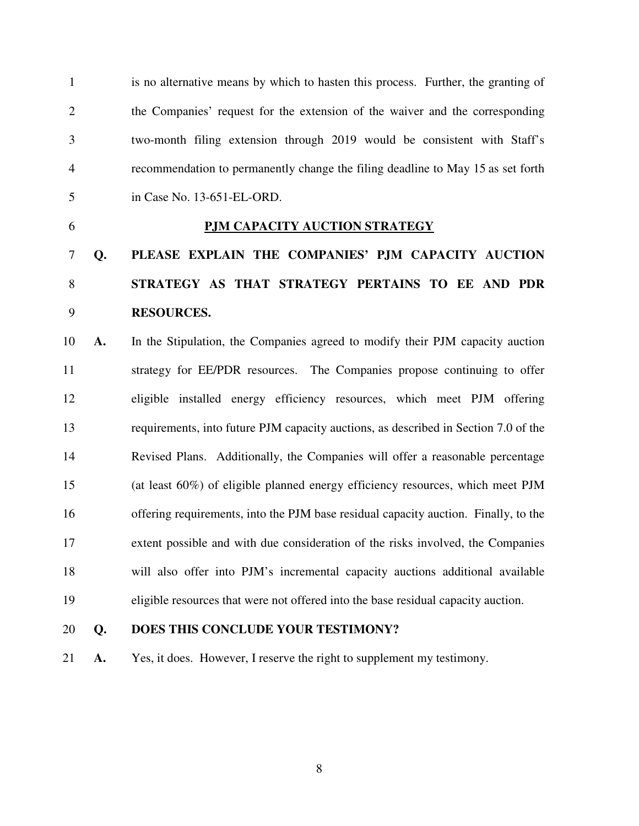1 is no alternative means by which to hasten this process. Further, the granting of 2 the Companies' request for the extension of the waiver and the corresponding 3 two-month filing extension through 2019 would be consistent with Staff's 4 recommendation to permanently change the filing deadline to May 15 as set forth 5 in Case No. 13-651-EL-ORD.

### 6 **PJM CAPACITY AUCTION STRATEGY**

# 7 **Q. PLEASE EXPLAIN THE COMPANIES' PJM CAPACITY AUCTION**  8 **STRATEGY AS THAT STRATEGY PERTAINS TO EE AND PDR**  9 **RESOURCES.**

10 **A.** In the Stipulation, the Companies agreed to modify their PJM capacity auction 11 strategy for EE/PDR resources. The Companies propose continuing to offer 12 eligible installed energy efficiency resources, which meet PJM offering 13 requirements, into future PJM capacity auctions, as described in Section 7.0 of the 14 Revised Plans. Additionally, the Companies will offer a reasonable percentage 15 (at least 60%) of eligible planned energy efficiency resources, which meet PJM 16 offering requirements, into the PJM base residual capacity auction. Finally, to the 17 extent possible and with due consideration of the risks involved, the Companies 18 will also offer into PJM's incremental capacity auctions additional available 19 eligible resources that were not offered into the base residual capacity auction.

#### 20 **Q. DOES THIS CONCLUDE YOUR TESTIMONY?**

21 **A.** Yes, it does. However, I reserve the right to supplement my testimony.